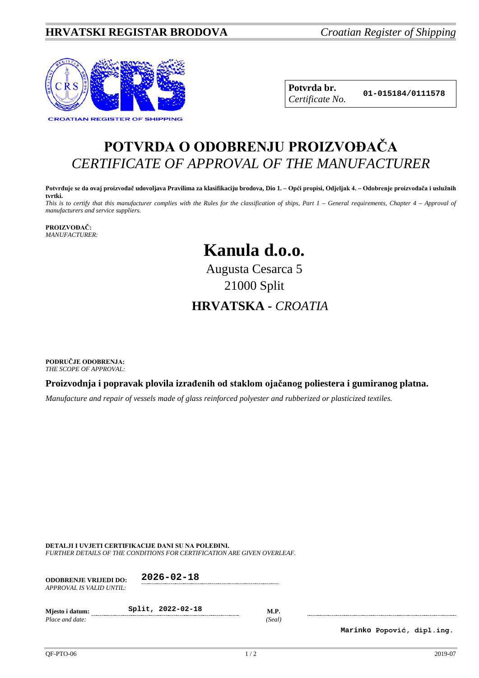### **HRVATSKI REGISTAR BRODOVA** *Croatian Register of Shipping*



**Potvrda br. 01-015184/0111578** *Certificate No.*

## **POTVRDA O ODOBRENJU PROIZVOĐAČA** *CERTIFICATE OF APPROVAL OF THE MANUFACTURER*

**Potvrđuje se da ovaj proizvođač udovoljava Pravilima za klasifikaciju brodova, Dio 1. – Opći propisi, Odjeljak 4. – Odobrenje proizvođača i uslužnih tvrtki.** *This is to certify that this manufacturer complies with the Rules for the classification of ships, Part 1 – General requirements, Chapter 4 – Approval of* 

*manufacturers and service suppliers.*

**PROIZVOĐAČ:** *MANUFACTURER:*

# **Kanula d.o.o.**

Augusta Cesarca 5 21000 Split

## **HRVATSKA -** *CROATIA*

**PODRUČJE ODOBRENJA:** *THE SCOPE OF APPROVAL:*

**Proizvodnja i popravak plovila izrađenih od staklom ojačanog poliestera i gumiranog platna.**

*Manufacture and repair of vessels made of glass reinforced polyester and rubberized or plasticized textiles.*

**DETALJI I UVJETI CERTIFIKACIJE DANI SU NA POLEĐINI.** *FURTHER DETAILS OF THE CONDITIONS FOR CERTIFICATION ARE GIVEN OVERLEAF.*

| $2026 - 02 - 18$<br><b>ODOBRENJE VRLJEDI DO:</b><br>APPROVAL IS VALID UNTIL: |                   |                       |
|------------------------------------------------------------------------------|-------------------|-----------------------|
| Miesto i datum:<br>Place and date:                                           | Split, 2022-02-18 | <b>M.P.</b><br>(Seal) |

**Marinko Popović, dipl.ing.**